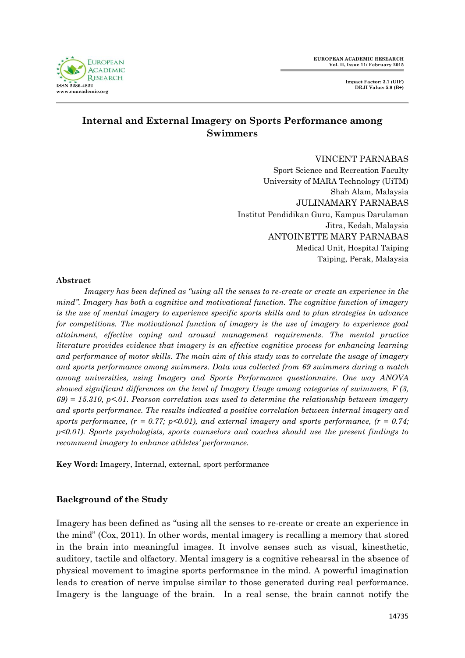**EUROPEAN ACADEMIC RESEARCH Vol. II, Issue 11/ February 2015**



# **Internal and External Imagery on Sports Performance among Swimmers**

VINCENT PARNABAS

Sport Science and Recreation Faculty University of MARA Technology (UiTM) Shah Alam, Malaysia JULINAMARY PARNABAS Institut Pendidikan Guru, Kampus Darulaman Jitra, Kedah, Malaysia ANTOINETTE MARY PARNABAS Medical Unit, Hospital Taiping Taiping, Perak, Malaysia

#### **Abstract**

*Imagery has been defined as "using all the senses to re-create or create an experience in the mind". Imagery has both a cognitive and motivational function. The cognitive function of imagery is the use of mental imagery to experience specific sports skills and to plan strategies in advance for competitions. The motivational function of imagery is the use of imagery to experience goal attainment, effective coping and arousal management requirements. The mental practice literature provides evidence that imagery is an effective cognitive process for enhancing learning and performance of motor skills. The main aim of this study was to correlate the usage of imagery and sports performance among swimmers. Data was collected from 69 swimmers during a match among universities, using Imagery and Sports Performance questionnaire. One way ANOVA showed significant differences on the level of Imagery Usage among categories of swimmers, F (3, 69) = 15.310, p<.01. Pearson correlation was used to determine the relationship between imagery and sports performance. The results indicated a positive correlation between internal imagery and*  sports performance,  $(r = 0.77; p<0.01)$ , and external imagery and sports performance,  $(r = 0.74;$ *p<0.01). Sports psychologists, sports counselors and coaches should use the present findings to recommend imagery to enhance athletes' performance.* 

**Key Word:** Imagery, Internal, external, sport performance

# **Background of the Study**

Imagery has been defined as "using all the senses to re-create or create an experience in the mind" (Cox, 2011). In other words, mental imagery is recalling a memory that stored in the brain into meaningful images. It involve senses such as visual, kinesthetic, auditory, tactile and olfactory. Mental imagery is a cognitive rehearsal in the absence of physical movement to imagine sports performance in the mind. A powerful imagination leads to creation of nerve impulse similar to those generated during real performance. Imagery is the language of the brain. In a real sense, the brain cannot notify the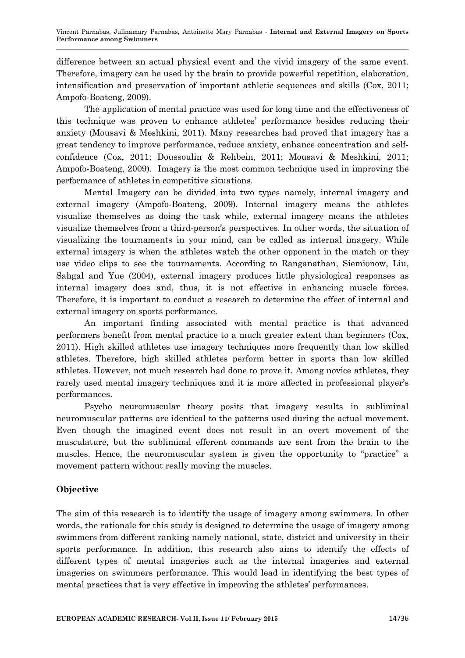difference between an actual physical event and the vivid imagery of the same event. Therefore, imagery can be used by the brain to provide powerful repetition, elaboration, intensification and preservation of important athletic sequences and skills (Cox, 2011; Ampofo-Boateng, 2009).

The application of mental practice was used for long time and the effectiveness of this technique was proven to enhance athletes' performance besides reducing their anxiety (Mousavi & Meshkini, 2011). Many researches had proved that imagery has a great tendency to improve performance, reduce anxiety, enhance concentration and selfconfidence (Cox, 2011; Doussoulin & Rehbein, 2011; Mousavi & Meshkini, 2011; Ampofo-Boateng, 2009). Imagery is the most common technique used in improving the performance of athletes in competitive situations.

Mental Imagery can be divided into two types namely, internal imagery and external imagery (Ampofo-Boateng, 2009). Internal imagery means the athletes visualize themselves as doing the task while, external imagery means the athletes visualize themselves from a third-person's perspectives. In other words, the situation of visualizing the tournaments in your mind, can be called as internal imagery. While external imagery is when the athletes watch the other opponent in the match or they use video clips to see the tournaments. According to Ranganathan, Siemionow, Liu, Sahgal and Yue (2004), external imagery produces little physiological responses as internal imagery does and, thus, it is not effective in enhancing muscle forces. Therefore, it is important to conduct a research to determine the effect of internal and external imagery on sports performance.

An important finding associated with mental practice is that advanced performers benefit from mental practice to a much greater extent than beginners (Cox, 2011). High skilled athletes use imagery techniques more frequently than low skilled athletes. Therefore, high skilled athletes perform better in sports than low skilled athletes. However, not much research had done to prove it. Among novice athletes, they rarely used mental imagery techniques and it is more affected in professional player's performances.

Psycho neuromuscular theory posits that imagery results in subliminal neuromuscular patterns are identical to the patterns used during the actual movement. Even though the imagined event does not result in an overt movement of the musculature, but the subliminal efferent commands are sent from the brain to the muscles. Hence, the neuromuscular system is given the opportunity to "practice" a movement pattern without really moving the muscles.

# **Objective**

The aim of this research is to identify the usage of imagery among swimmers. In other words, the rationale for this study is designed to determine the usage of imagery among swimmers from different ranking namely national, state, district and university in their sports performance. In addition, this research also aims to identify the effects of different types of mental imageries such as the internal imageries and external imageries on swimmers performance. This would lead in identifying the best types of mental practices that is very effective in improving the athletes' performances.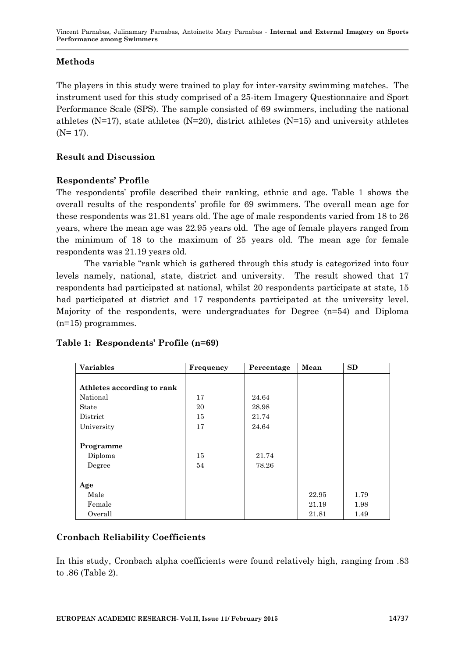# **Methods**

The players in this study were trained to play for inter-varsity swimming matches. The instrument used for this study comprised of a 25-item Imagery Questionnaire and Sport Performance Scale (SPS). The sample consisted of 69 swimmers, including the national athletes ( $N=17$ ), state athletes ( $N=20$ ), district athletes ( $N=15$ ) and university athletes  $(N= 17)$ .

# **Result and Discussion**

# **Respondents' Profile**

The respondents' profile described their ranking, ethnic and age. Table 1 shows the overall results of the respondents' profile for 69 swimmers. The overall mean age for these respondents was 21.81 years old. The age of male respondents varied from 18 to 26 years, where the mean age was 22.95 years old. The age of female players ranged from the minimum of 18 to the maximum of 25 years old. The mean age for female respondents was 21.19 years old.

The variable "rank which is gathered through this study is categorized into four levels namely, national, state, district and university. The result showed that 17 respondents had participated at national, whilst 20 respondents participate at state, 15 had participated at district and 17 respondents participated at the university level. Majority of the respondents, were undergraduates for Degree (n=54) and Diploma (n=15) programmes.

| <b>Variables</b>           | Frequency | Percentage | Mean  | <b>SD</b> |
|----------------------------|-----------|------------|-------|-----------|
|                            |           |            |       |           |
| Athletes according to rank |           |            |       |           |
| National                   | 17        | 24.64      |       |           |
| State                      | 20        | 28.98      |       |           |
| District                   | 15        | 21.74      |       |           |
| University                 | 17        | 24.64      |       |           |
|                            |           |            |       |           |
| Programme                  |           |            |       |           |
| Diploma                    | 15        | 21.74      |       |           |
| Degree                     | 54        | 78.26      |       |           |
|                            |           |            |       |           |
| Age                        |           |            |       |           |
| Male                       |           |            | 22.95 | 1.79      |
| Female                     |           |            | 21.19 | 1.98      |
| Overall                    |           |            | 21.81 | 1.49      |

# **Table 1: Respondents' Profile (n=69)**

# **Cronbach Reliability Coefficients**

In this study, Cronbach alpha coefficients were found relatively high, ranging from .83 to .86 (Table 2).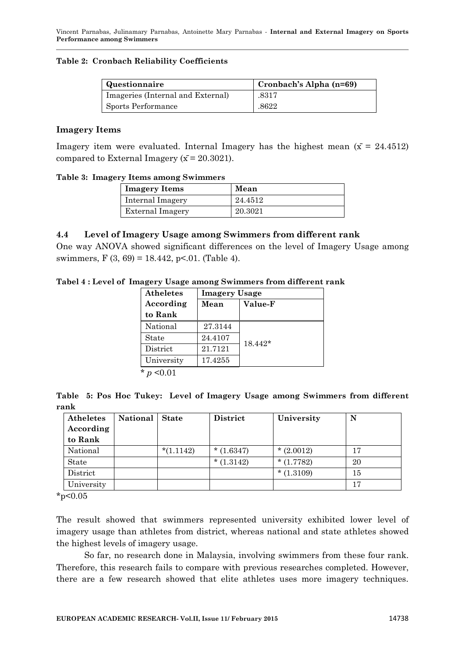#### **Table 2: Cronbach Reliability Coefficients**

| Questionnaire                     | Cronbach's Alpha (n=69) |
|-----------------------------------|-------------------------|
| Imageries (Internal and External) | .8317                   |
| Sports Performance                | .8622                   |

#### **Imagery Items**

Imagery item were evaluated. Internal Imagery has the highest mean  $(\bar{x} = 24.4512)$ compared to External Imagery ( $\bar{x}$  = 20.3021).

#### **Table 3: Imagery Items among Swimmers**

| <b>Imagery Items</b>    | Mean    |
|-------------------------|---------|
| Internal Imagery        | 24.4512 |
| <b>External Imagery</b> | 20.3021 |

### **4.4 Level of Imagery Usage among Swimmers from different rank**

One way ANOVA showed significant differences on the level of Imagery Usage among swimmers,  $F(3, 69) = 18.442$ , p<.01. (Table 4).

**Tabel 4 : Level of Imagery Usage among Swimmers from different rank** 

| Atheletes         | <b>Imagery Usage</b> |           |
|-------------------|----------------------|-----------|
| According         | Mean                 | Value-F   |
| to Rank           |                      |           |
| National          | 27.3144              |           |
| State             | 24.4107              | $18.442*$ |
| District          | 21.7121              |           |
| University        | 17.4255              |           |
| $\star$<br>< 0.01 |                      |           |

**Table 5: Pos Hoc Tukey: Level of Imagery Usage among Swimmers from different rank**

| Atheletes  | <b>National</b> | <b>State</b> | <b>District</b> | University  | N  |
|------------|-----------------|--------------|-----------------|-------------|----|
| According  |                 |              |                 |             |    |
| to Rank    |                 |              |                 |             |    |
| National   |                 | $*(1.1142)$  | $*(1.6347)$     | $*(2.0012)$ | 17 |
| State      |                 |              | $*(1.3142)$     | $*(1.7782)$ | 20 |
| District   |                 |              |                 | $*(1.3109)$ | 15 |
| University |                 |              |                 |             | 17 |

 $*_{p<0.05}$ 

The result showed that swimmers represented university exhibited lower level of imagery usage than athletes from district, whereas national and state athletes showed the highest levels of imagery usage.

So far, no research done in Malaysia, involving swimmers from these four rank. Therefore, this research fails to compare with previous researches completed. However, there are a few research showed that elite athletes uses more imagery techniques.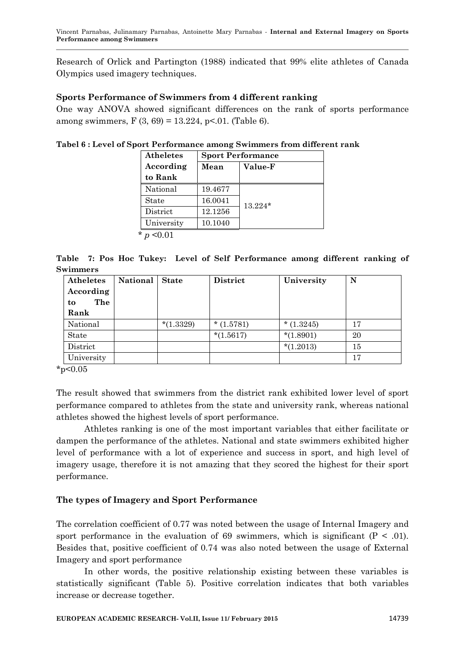Research of Orlick and Partington (1988) indicated that 99% elite athletes of Canada Olympics used imagery techniques.

### **Sports Performance of Swimmers from 4 different ranking**

One way ANOVA showed significant differences on the rank of sports performance among swimmers, F  $(3, 69) = 13.224$ , p<.01. (Table 6).

**Tabel 6 : Level of Sport Performance among Swimmers from different rank**

| <b>Atheletes</b> | <b>Sport Performance</b> |                |  |
|------------------|--------------------------|----------------|--|
| According        | Mean                     | <b>Value-F</b> |  |
| to Rank          |                          |                |  |
| National         | 19.4677                  |                |  |
| State            | 16.0041                  | $13.224*$      |  |
| District         | 12.1256                  |                |  |
| University       | 10.1040                  |                |  |
| *                |                          |                |  |

**Table 7: Pos Hoc Tukey: Level of Self Performance among different ranking of Swimmers**

| Atheletes<br>According<br>The<br>to<br>Rank | <b>National</b> | <b>State</b> | <b>District</b> | University  | N  |
|---------------------------------------------|-----------------|--------------|-----------------|-------------|----|
| National                                    |                 | $*(1.3329)$  | $*(1.5781)$     | $*(1.3245)$ | 17 |
| State                                       |                 |              | $*(1.5617)$     | $*(1.8901)$ | 20 |
| District                                    |                 |              |                 | $*(1.2013)$ | 15 |
| University                                  |                 |              |                 |             | 17 |

 $*_{p<0.05}$ 

The result showed that swimmers from the district rank exhibited lower level of sport performance compared to athletes from the state and university rank, whereas national athletes showed the highest levels of sport performance.

Athletes ranking is one of the most important variables that either facilitate or dampen the performance of the athletes. National and state swimmers exhibited higher level of performance with a lot of experience and success in sport, and high level of imagery usage, therefore it is not amazing that they scored the highest for their sport performance.

# **The types of Imagery and Sport Performance**

The correlation coefficient of 0.77 was noted between the usage of Internal Imagery and sport performance in the evaluation of 69 swimmers, which is significant  $(P < .01)$ . Besides that, positive coefficient of 0.74 was also noted between the usage of External Imagery and sport performance

In other words, the positive relationship existing between these variables is statistically significant (Table 5). Positive correlation indicates that both variables increase or decrease together.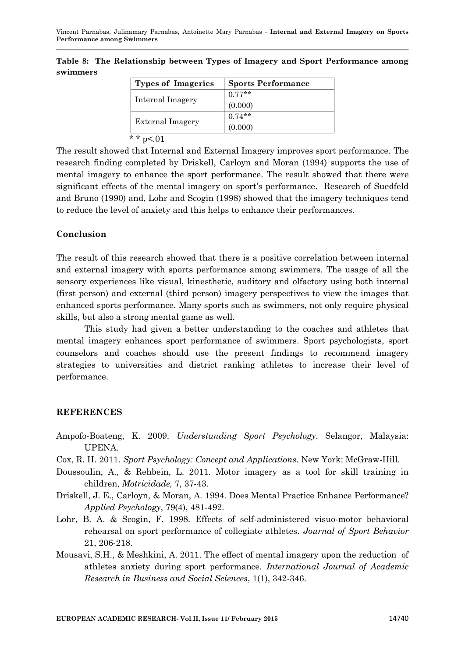| Types of Imageries      | <b>Sports Performance</b> |
|-------------------------|---------------------------|
| Internal Imagery        | $0.77**$                  |
|                         | (0.000)                   |
|                         | $0.74**$                  |
| <b>External Imagery</b> | (0.000)                   |
| * * $p<01$              |                           |

**Table 8: The Relationship between Types of Imagery and Sport Performance among swimmers**

The result showed that Internal and External Imagery improves sport performance. The research finding completed by Driskell, Carloyn and Moran (1994) supports the use of mental imagery to enhance the sport performance. The result showed that there were significant effects of the mental imagery on sport's performance. Research of Suedfeld and Bruno (1990) and, Lohr and Scogin (1998) showed that the imagery techniques tend to reduce the level of anxiety and this helps to enhance their performances.

### **Conclusion**

The result of this research showed that there is a positive correlation between internal and external imagery with sports performance among swimmers. The usage of all the sensory experiences like visual, kinesthetic, auditory and olfactory using both internal (first person) and external (third person) imagery perspectives to view the images that enhanced sports performance. Many sports such as swimmers, not only require physical skills, but also a strong mental game as well.

This study had given a better understanding to the coaches and athletes that mental imagery enhances sport performance of swimmers. Sport psychologists, sport counselors and coaches should use the present findings to recommend imagery strategies to universities and district ranking athletes to increase their level of performance.

### **REFERENCES**

- Ampofo-Boateng, K. 2009. *Understanding Sport Psychology*. Selangor, Malaysia: UPENA.
- Cox, R. H. 2011. *Sport Psychology: Concept and Applications*. New York: McGraw-Hill.
- Doussoulin, A., & Rehbein, L. 2011. Motor imagery as a tool for skill training in children, *Motricidade,* 7, 37-43.
- Driskell, J. E., Carloyn, & Moran, A. 1994. Does Mental Practice Enhance Performance? *Applied Psychology*, 79(4), 481-492.
- Lohr, B. A. & Scogin, F. 1998. Effects of self-administered visuo-motor behavioral rehearsal on sport performance of collegiate athletes. *Journal of Sport Behavior* 21, 206-218.
- Mousavi, S.H., & Meshkini, A. 2011. The effect of mental imagery upon the reduction of athletes anxiety during sport performance*. International Journal of Academic Research in Business and Social Sciences*, 1(1), 342-346.